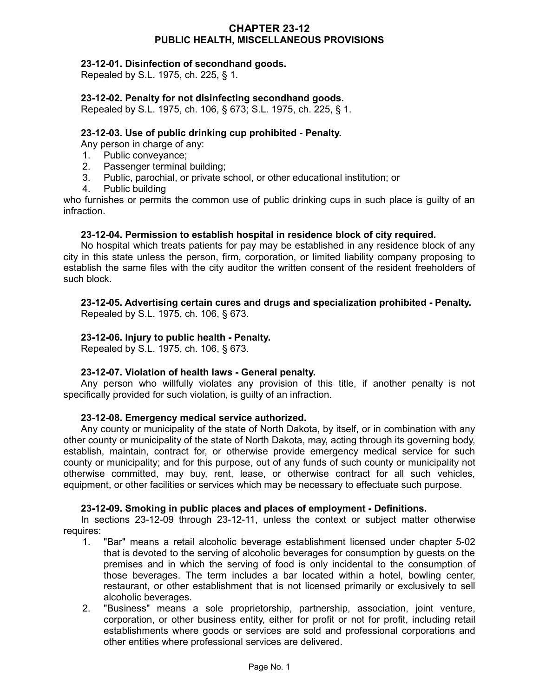## **CHAPTER 23-12 PUBLIC HEALTH, MISCELLANEOUS PROVISIONS**

## **23-12-01. Disinfection of secondhand goods.**

Repealed by S.L. 1975, ch. 225, § 1.

## **23-12-02. Penalty for not disinfecting secondhand goods.**

Repealed by S.L. 1975, ch. 106, § 673; S.L. 1975, ch. 225, § 1.

## **23-12-03. Use of public drinking cup prohibited - Penalty.**

Any person in charge of any:

- 1. Public conveyance;
- 2. Passenger terminal building;
- 3. Public, parochial, or private school, or other educational institution; or
- 4. Public building

who furnishes or permits the common use of public drinking cups in such place is guilty of an infraction.

## **23-12-04. Permission to establish hospital in residence block of city required.**

No hospital which treats patients for pay may be established in any residence block of any city in this state unless the person, firm, corporation, or limited liability company proposing to establish the same files with the city auditor the written consent of the resident freeholders of such block.

# **23-12-05. Advertising certain cures and drugs and specialization prohibited - Penalty.**

Repealed by S.L. 1975, ch. 106, § 673.

## **23-12-06. Injury to public health - Penalty.**

Repealed by S.L. 1975, ch. 106, § 673.

#### **23-12-07. Violation of health laws - General penalty.**

Any person who willfully violates any provision of this title, if another penalty is not specifically provided for such violation, is guilty of an infraction.

#### **23-12-08. Emergency medical service authorized.**

Any county or municipality of the state of North Dakota, by itself, or in combination with any other county or municipality of the state of North Dakota, may, acting through its governing body, establish, maintain, contract for, or otherwise provide emergency medical service for such county or municipality; and for this purpose, out of any funds of such county or municipality not otherwise committed, may buy, rent, lease, or otherwise contract for all such vehicles, equipment, or other facilities or services which may be necessary to effectuate such purpose.

#### **23-12-09. Smoking in public places and places of employment - Definitions.**

In sections 23-12-09 through 23-12-11, unless the context or subject matter otherwise requires:

- 1. "Bar" means a retail alcoholic beverage establishment licensed under chapter 5-02 that is devoted to the serving of alcoholic beverages for consumption by guests on the premises and in which the serving of food is only incidental to the consumption of those beverages. The term includes a bar located within a hotel, bowling center, restaurant, or other establishment that is not licensed primarily or exclusively to sell alcoholic beverages.
- 2. "Business" means a sole proprietorship, partnership, association, joint venture, corporation, or other business entity, either for profit or not for profit, including retail establishments where goods or services are sold and professional corporations and other entities where professional services are delivered.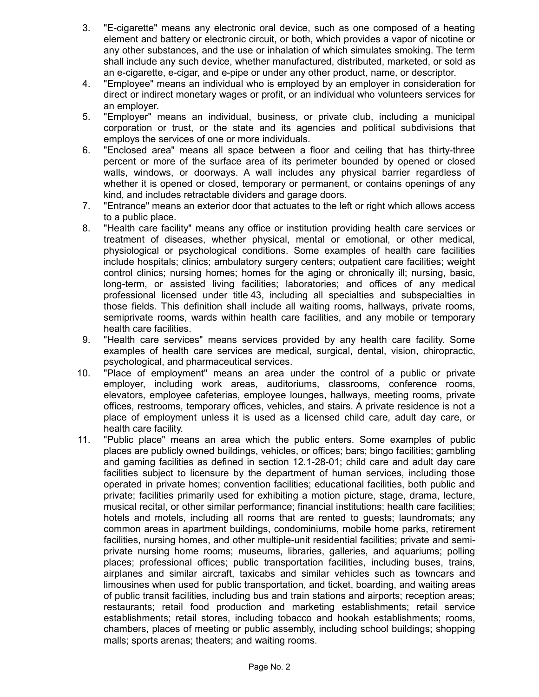- 3. "E-cigarette" means any electronic oral device, such as one composed of a heating element and battery or electronic circuit, or both, which provides a vapor of nicotine or any other substances, and the use or inhalation of which simulates smoking. The term shall include any such device, whether manufactured, distributed, marketed, or sold as an e-cigarette, e-cigar, and e-pipe or under any other product, name, or descriptor.
- 4. "Employee" means an individual who is employed by an employer in consideration for direct or indirect monetary wages or profit, or an individual who volunteers services for an employer.
- 5. "Employer" means an individual, business, or private club, including a municipal corporation or trust, or the state and its agencies and political subdivisions that employs the services of one or more individuals.
- 6. "Enclosed area" means all space between a floor and ceiling that has thirty-three percent or more of the surface area of its perimeter bounded by opened or closed walls, windows, or doorways. A wall includes any physical barrier regardless of whether it is opened or closed, temporary or permanent, or contains openings of any kind, and includes retractable dividers and garage doors.
- 7. "Entrance" means an exterior door that actuates to the left or right which allows access to a public place.
- 8. "Health care facility" means any office or institution providing health care services or treatment of diseases, whether physical, mental or emotional, or other medical, physiological or psychological conditions. Some examples of health care facilities include hospitals; clinics; ambulatory surgery centers; outpatient care facilities; weight control clinics; nursing homes; homes for the aging or chronically ill; nursing, basic, long-term, or assisted living facilities; laboratories; and offices of any medical professional licensed under title 43, including all specialties and subspecialties in those fields. This definition shall include all waiting rooms, hallways, private rooms, semiprivate rooms, wards within health care facilities, and any mobile or temporary health care facilities.
- 9. "Health care services" means services provided by any health care facility. Some examples of health care services are medical, surgical, dental, vision, chiropractic, psychological, and pharmaceutical services.
- 10. "Place of employment" means an area under the control of a public or private employer, including work areas, auditoriums, classrooms, conference rooms, elevators, employee cafeterias, employee lounges, hallways, meeting rooms, private offices, restrooms, temporary offices, vehicles, and stairs. A private residence is not a place of employment unless it is used as a licensed child care, adult day care, or health care facility.
- 11. "Public place" means an area which the public enters. Some examples of public places are publicly owned buildings, vehicles, or offices; bars; bingo facilities; gambling and gaming facilities as defined in section 12.1-28-01; child care and adult day care facilities subject to licensure by the department of human services, including those operated in private homes; convention facilities; educational facilities, both public and private; facilities primarily used for exhibiting a motion picture, stage, drama, lecture, musical recital, or other similar performance; financial institutions; health care facilities; hotels and motels, including all rooms that are rented to guests; laundromats; any common areas in apartment buildings, condominiums, mobile home parks, retirement facilities, nursing homes, and other multiple-unit residential facilities; private and semiprivate nursing home rooms; museums, libraries, galleries, and aquariums; polling places; professional offices; public transportation facilities, including buses, trains, airplanes and similar aircraft, taxicabs and similar vehicles such as towncars and limousines when used for public transportation, and ticket, boarding, and waiting areas of public transit facilities, including bus and train stations and airports; reception areas; restaurants; retail food production and marketing establishments; retail service establishments; retail stores, including tobacco and hookah establishments; rooms, chambers, places of meeting or public assembly, including school buildings; shopping malls; sports arenas; theaters; and waiting rooms.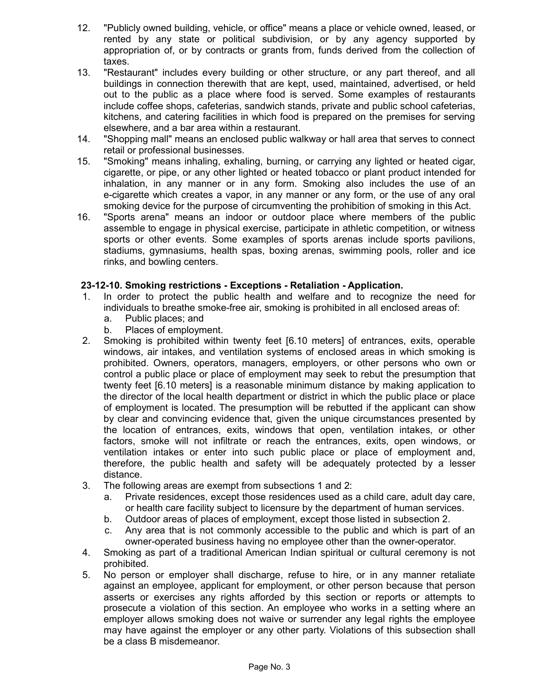- 12. "Publicly owned building, vehicle, or office" means a place or vehicle owned, leased, or rented by any state or political subdivision, or by any agency supported by appropriation of, or by contracts or grants from, funds derived from the collection of taxes.
- 13. "Restaurant" includes every building or other structure, or any part thereof, and all buildings in connection therewith that are kept, used, maintained, advertised, or held out to the public as a place where food is served. Some examples of restaurants include coffee shops, cafeterias, sandwich stands, private and public school cafeterias, kitchens, and catering facilities in which food is prepared on the premises for serving elsewhere, and a bar area within a restaurant.
- 14. "Shopping mall" means an enclosed public walkway or hall area that serves to connect retail or professional businesses.
- 15. "Smoking" means inhaling, exhaling, burning, or carrying any lighted or heated cigar, cigarette, or pipe, or any other lighted or heated tobacco or plant product intended for inhalation, in any manner or in any form. Smoking also includes the use of an e-cigarette which creates a vapor, in any manner or any form, or the use of any oral smoking device for the purpose of circumventing the prohibition of smoking in this Act.
- 16. "Sports arena" means an indoor or outdoor place where members of the public assemble to engage in physical exercise, participate in athletic competition, or witness sports or other events. Some examples of sports arenas include sports pavilions, stadiums, gymnasiums, health spas, boxing arenas, swimming pools, roller and ice rinks, and bowling centers.

## **23-12-10. Smoking restrictions - Exceptions - Retaliation - Application.**

- 1. In order to protect the public health and welfare and to recognize the need for individuals to breathe smoke-free air, smoking is prohibited in all enclosed areas of:
	- a. Public places; and
	- b. Places of employment.
- 2. Smoking is prohibited within twenty feet [6.10 meters] of entrances, exits, operable windows, air intakes, and ventilation systems of enclosed areas in which smoking is prohibited. Owners, operators, managers, employers, or other persons who own or control a public place or place of employment may seek to rebut the presumption that twenty feet [6.10 meters] is a reasonable minimum distance by making application to the director of the local health department or district in which the public place or place of employment is located. The presumption will be rebutted if the applicant can show by clear and convincing evidence that, given the unique circumstances presented by the location of entrances, exits, windows that open, ventilation intakes, or other factors, smoke will not infiltrate or reach the entrances, exits, open windows, or ventilation intakes or enter into such public place or place of employment and, therefore, the public health and safety will be adequately protected by a lesser distance.
- 3. The following areas are exempt from subsections 1 and 2:
	- a. Private residences, except those residences used as a child care, adult day care, or health care facility subject to licensure by the department of human services.
	- b. Outdoor areas of places of employment, except those listed in subsection 2.
	- c. Any area that is not commonly accessible to the public and which is part of an owner-operated business having no employee other than the owner-operator.
- 4. Smoking as part of a traditional American Indian spiritual or cultural ceremony is not prohibited.
- 5. No person or employer shall discharge, refuse to hire, or in any manner retaliate against an employee, applicant for employment, or other person because that person asserts or exercises any rights afforded by this section or reports or attempts to prosecute a violation of this section. An employee who works in a setting where an employer allows smoking does not waive or surrender any legal rights the employee may have against the employer or any other party. Violations of this subsection shall be a class B misdemeanor.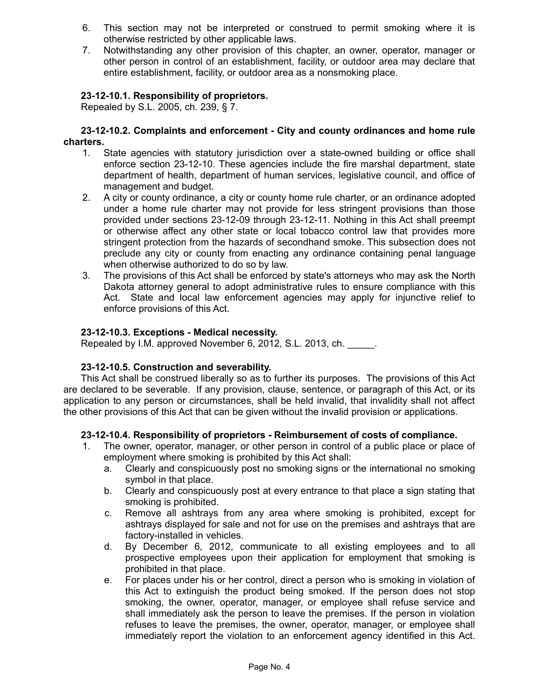- 6. This section may not be interpreted or construed to permit smoking where it is otherwise restricted by other applicable laws.
- 7. Notwithstanding any other provision of this chapter, an owner, operator, manager or other person in control of an establishment, facility, or outdoor area may declare that entire establishment, facility, or outdoor area as a nonsmoking place.

# **23-12-10.1. Responsibility of proprietors.**

Repealed by S.L. 2005, ch. 239, § 7.

#### **23-12-10.2. Complaints and enforcement - City and county ordinances and home rule charters.**

- 1. State agencies with statutory jurisdiction over a state-owned building or office shall enforce section 23-12-10. These agencies include the fire marshal department, state department of health, department of human services, legislative council, and office of management and budget.
- 2. A city or county ordinance, a city or county home rule charter, or an ordinance adopted under a home rule charter may not provide for less stringent provisions than those provided under sections 23-12-09 through 23-12-11. Nothing in this Act shall preempt or otherwise affect any other state or local tobacco control law that provides more stringent protection from the hazards of secondhand smoke. This subsection does not preclude any city or county from enacting any ordinance containing penal language when otherwise authorized to do so by law.
- 3. The provisions of this Act shall be enforced by state's attorneys who may ask the North Dakota attorney general to adopt administrative rules to ensure compliance with this Act. State and local law enforcement agencies may apply for injunctive relief to enforce provisions of this Act.

## **23-12-10.3. Exceptions - Medical necessity.**

Repealed by I.M. approved November 6, 2012, S.L. 2013, ch. \_\_\_\_\_.

## **23-12-10.5. Construction and severability.**

This Act shall be construed liberally so as to further its purposes. The provisions of this Act are declared to be severable. If any provision, clause, sentence, or paragraph of this Act, or its application to any person or circumstances, shall be held invalid, that invalidity shall not affect the other provisions of this Act that can be given without the invalid provision or applications.

#### **23-12-10.4. Responsibility of proprietors - Reimbursement of costs of compliance.**

- The owner, operator, manager, or other person in control of a public place or place of employment where smoking is prohibited by this Act shall:
	- a. Clearly and conspicuously post no smoking signs or the international no smoking symbol in that place.
	- b. Clearly and conspicuously post at every entrance to that place a sign stating that smoking is prohibited.
	- c. Remove all ashtrays from any area where smoking is prohibited, except for ashtrays displayed for sale and not for use on the premises and ashtrays that are factory-installed in vehicles.
	- d. By December 6, 2012, communicate to all existing employees and to all prospective employees upon their application for employment that smoking is prohibited in that place.
	- e. For places under his or her control, direct a person who is smoking in violation of this Act to extinguish the product being smoked. If the person does not stop smoking, the owner, operator, manager, or employee shall refuse service and shall immediately ask the person to leave the premises. If the person in violation refuses to leave the premises, the owner, operator, manager, or employee shall immediately report the violation to an enforcement agency identified in this Act.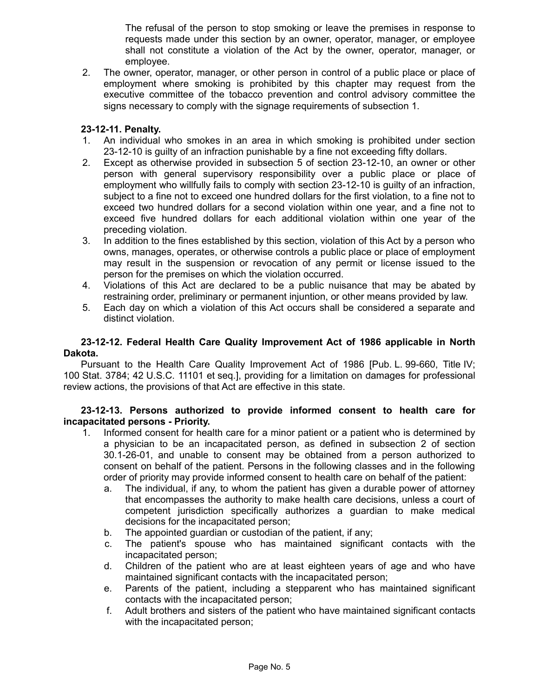The refusal of the person to stop smoking or leave the premises in response to requests made under this section by an owner, operator, manager, or employee shall not constitute a violation of the Act by the owner, operator, manager, or employee.

2. The owner, operator, manager, or other person in control of a public place or place of employment where smoking is prohibited by this chapter may request from the executive committee of the tobacco prevention and control advisory committee the signs necessary to comply with the signage requirements of subsection 1.

## **23-12-11. Penalty.**

- 1. An individual who smokes in an area in which smoking is prohibited under section 23-12-10 is guilty of an infraction punishable by a fine not exceeding fifty dollars.
- 2. Except as otherwise provided in subsection 5 of section 23-12-10, an owner or other person with general supervisory responsibility over a public place or place of employment who willfully fails to comply with section 23-12-10 is guilty of an infraction, subject to a fine not to exceed one hundred dollars for the first violation, to a fine not to exceed two hundred dollars for a second violation within one year, and a fine not to exceed five hundred dollars for each additional violation within one year of the preceding violation.
- 3. In addition to the fines established by this section, violation of this Act by a person who owns, manages, operates, or otherwise controls a public place or place of employment may result in the suspension or revocation of any permit or license issued to the person for the premises on which the violation occurred.
- 4. Violations of this Act are declared to be a public nuisance that may be abated by restraining order, preliminary or permanent injuntion, or other means provided by law.
- 5. Each day on which a violation of this Act occurs shall be considered a separate and distinct violation.

## **23-12-12. Federal Health Care Quality Improvement Act of 1986 applicable in North Dakota.**

Pursuant to the Health Care Quality Improvement Act of 1986 [Pub. L. 99-660. Title IV: 100 Stat. 3784; 42 U.S.C. 11101 et seq.], providing for a limitation on damages for professional review actions, the provisions of that Act are effective in this state.

## **23-12-13. Persons authorized to provide informed consent to health care for incapacitated persons - Priority.**

- 1. Informed consent for health care for a minor patient or a patient who is determined by a physician to be an incapacitated person, as defined in subsection 2 of section 30.1-26-01, and unable to consent may be obtained from a person authorized to consent on behalf of the patient. Persons in the following classes and in the following order of priority may provide informed consent to health care on behalf of the patient:
	- a. The individual, if any, to whom the patient has given a durable power of attorney that encompasses the authority to make health care decisions, unless a court of competent jurisdiction specifically authorizes a guardian to make medical decisions for the incapacitated person;
	- b. The appointed guardian or custodian of the patient, if any;
	- c. The patient's spouse who has maintained significant contacts with the incapacitated person;
	- d. Children of the patient who are at least eighteen years of age and who have maintained significant contacts with the incapacitated person;
	- e. Parents of the patient, including a stepparent who has maintained significant contacts with the incapacitated person;
	- f. Adult brothers and sisters of the patient who have maintained significant contacts with the incapacitated person;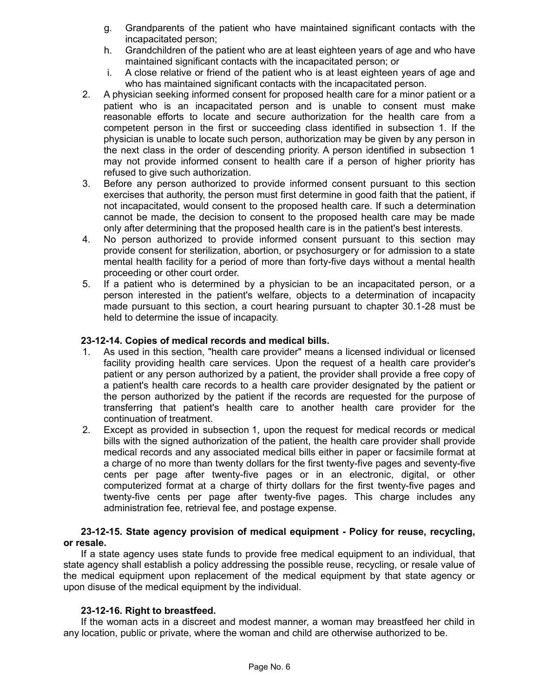- g. Grandparents of the patient who have maintained significant contacts with the incapacitated person;
- h. Grandchildren of the patient who are at least eighteen years of age and who have maintained significant contacts with the incapacitated person; or
- i. A close relative or friend of the patient who is at least eighteen years of age and who has maintained significant contacts with the incapacitated person.
- 2. A physician seeking informed consent for proposed health care for a minor patient or a patient who is an incapacitated person and is unable to consent must make reasonable efforts to locate and secure authorization for the health care from a competent person in the first or succeeding class identified in subsection 1. If the physician is unable to locate such person, authorization may be given by any person in the next class in the order of descending priority. A person identified in subsection 1 may not provide informed consent to health care if a person of higher priority has refused to give such authorization.
- 3. Before any person authorized to provide informed consent pursuant to this section exercises that authority, the person must first determine in good faith that the patient, if not incapacitated, would consent to the proposed health care. If such a determination cannot be made, the decision to consent to the proposed health care may be made only after determining that the proposed health care is in the patient's best interests.
- 4. No person authorized to provide informed consent pursuant to this section may provide consent for sterilization, abortion, or psychosurgery or for admission to a state mental health facility for a period of more than forty-five days without a mental health proceeding or other court order.
- 5. If a patient who is determined by a physician to be an incapacitated person, or a person interested in the patient's welfare, objects to a determination of incapacity made pursuant to this section, a court hearing pursuant to chapter 30.1-28 must be held to determine the issue of incapacity.

# **23-12-14. Copies of medical records and medical bills.**

- 1. As used in this section, "health care provider" means a licensed individual or licensed facility providing health care services. Upon the request of a health care provider's patient or any person authorized by a patient, the provider shall provide a free copy of a patient's health care records to a health care provider designated by the patient or the person authorized by the patient if the records are requested for the purpose of transferring that patient's health care to another health care provider for the continuation of treatment.
- 2. Except as provided in subsection 1, upon the request for medical records or medical bills with the signed authorization of the patient, the health care provider shall provide medical records and any associated medical bills either in paper or facsimile format at a charge of no more than twenty dollars for the first twenty-five pages and seventy-five cents per page after twenty-five pages or in an electronic, digital, or other computerized format at a charge of thirty dollars for the first twenty-five pages and twenty-five cents per page after twenty-five pages. This charge includes any administration fee, retrieval fee, and postage expense.

## **23-12-15. State agency provision of medical equipment - Policy for reuse, recycling, or resale.**

If a state agency uses state funds to provide free medical equipment to an individual, that state agency shall establish a policy addressing the possible reuse, recycling, or resale value of the medical equipment upon replacement of the medical equipment by that state agency or upon disuse of the medical equipment by the individual.

## **23-12-16. Right to breastfeed.**

If the woman acts in a discreet and modest manner, a woman may breastfeed her child in any location, public or private, where the woman and child are otherwise authorized to be.